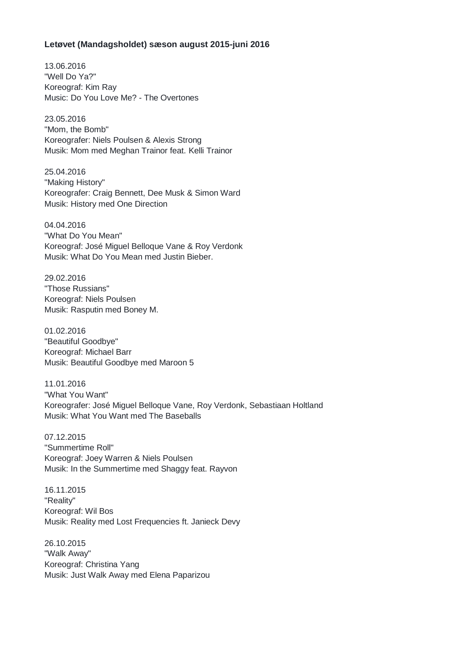## **Letøvet (Mandagsholdet) sæson august 2015-juni 2016**

13.06.2016 "Well Do Ya?" Koreograf: Kim Ray Music: Do You Love Me? - The Overtones

23.05.2016 "Mom, the Bomb" Koreografer: Niels Poulsen & Alexis Strong Musik: Mom med Meghan Trainor feat. Kelli Trainor

25.04.2016 "Making History" Koreografer: Craig Bennett, Dee Musk & Simon Ward Musik: History med One Direction

04.04.2016 "What Do You Mean" Koreograf: José Miguel Belloque Vane & Roy Verdonk Musik: What Do You Mean med Justin Bieber.

29.02.2016 "Those Russians" Koreograf: Niels Poulsen Musik: Rasputin med Boney M.

01.02.2016 "Beautiful Goodbye" Koreograf: Michael Barr Musik: Beautiful Goodbye med Maroon 5

11.01.2016 "What You Want" Koreografer: José Miguel Belloque Vane, Roy Verdonk, Sebastiaan Holtland Musik: What You Want med The Baseballs

07.12.2015 "Summertime Roll" Koreograf: Joey Warren & Niels Poulsen Musik: In the Summertime med Shaggy feat. Rayvon

16.11.2015 "Reality" Koreograf: Wil Bos Musik: Reality med Lost Frequencies ft. Janieck Devy

26.10.2015 "Walk Away" Koreograf: Christina Yang Musik: Just Walk Away med Elena Paparizou